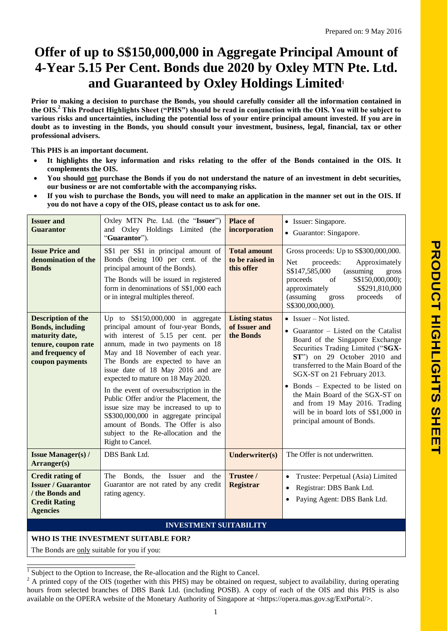# **Offer of up to S\$150,000,000 in Aggregate Principal Amount of 4-Year 5.15 Per Cent. Bonds due 2020 by Oxley MTN Pte. Ltd. and Guaranteed by Oxley Holdings Limited<sup>1</sup>**

**Prior to making a decision to purchase the Bonds, you should carefully consider all the information contained in the OIS.<sup>2</sup> This Product Highlights Sheet ("PHS") should be read in conjunction with the OIS. You will be subject to various risks and uncertainties, including the potential loss of your entire principal amount invested. If you are in doubt as to investing in the Bonds, you should consult your investment, business, legal, financial, tax or other professional advisers.**

**This PHS is an important document.**

- **It highlights the key information and risks relating to the offer of the Bonds contained in the OIS. It complements the OIS.**
- **You should not purchase the Bonds if you do not understand the nature of an investment in debt securities, our business or are not comfortable with the accompanying risks.**
- **If you wish to purchase the Bonds, you will need to make an application in the manner set out in the OIS. If you do not have a copy of the OIS, please contact us to ask for one.**

| <b>Issuer and</b><br><b>Guarantor</b>                                                                                                | Oxley MTN Pte. Ltd. (the "Issuer")<br>and Oxley Holdings Limited (the<br>"Guarantor").                                                                                                                                                                                                                                                                                                                                                                                                                                                                                              | <b>Place of</b><br>incorporation                     | • Issuer: Singapore.<br>• Guarantor: Singapore.                                                                                                                                                                                                                                                                                                                                                                                |  |  |  |  |
|--------------------------------------------------------------------------------------------------------------------------------------|-------------------------------------------------------------------------------------------------------------------------------------------------------------------------------------------------------------------------------------------------------------------------------------------------------------------------------------------------------------------------------------------------------------------------------------------------------------------------------------------------------------------------------------------------------------------------------------|------------------------------------------------------|--------------------------------------------------------------------------------------------------------------------------------------------------------------------------------------------------------------------------------------------------------------------------------------------------------------------------------------------------------------------------------------------------------------------------------|--|--|--|--|
| <b>Issue Price and</b><br>denomination of the<br><b>Bonds</b>                                                                        | S\$1 per S\$1 in principal amount of<br>Bonds (being 100 per cent. of the<br>principal amount of the Bonds).<br>The Bonds will be issued in registered<br>form in denominations of S\$1,000 each<br>or in integral multiples thereof.                                                                                                                                                                                                                                                                                                                                               | <b>Total amount</b><br>to be raised in<br>this offer | Gross proceeds: Up to S\$300,000,000.<br><b>Net</b><br>proceeds:<br>Approximately<br>S\$147,585,000<br>(assuming<br>gross<br>S\$150,000,000);<br>of<br>proceeds<br>S\$291,810,000<br>approximately<br>(assuming<br>proceeds<br>of<br>gross<br>S\$300,000,000).                                                                                                                                                                 |  |  |  |  |
| <b>Description of the</b><br><b>Bonds, including</b><br>maturity date,<br>tenure, coupon rate<br>and frequency of<br>coupon payments | Up to $S$150,000,000$ in aggregate<br>principal amount of four-year Bonds,<br>with interest of 5.15 per cent. per<br>annum, made in two payments on 18<br>May and 18 November of each year.<br>The Bonds are expected to have an<br>issue date of 18 May 2016 and are<br>expected to mature on 18 May 2020.<br>In the event of oversubscription in the<br>Public Offer and/or the Placement, the<br>issue size may be increased to up to<br>S\$300,000,000 in aggregate principal<br>amount of Bonds. The Offer is also<br>subject to the Re-allocation and the<br>Right to Cancel. | <b>Listing status</b><br>of Issuer and<br>the Bonds  | • Issuer – Not listed.<br>• Guarantor $-$ Listed on the Catalist<br>Board of the Singapore Exchange<br>Securities Trading Limited ("SGX-<br>ST") on 29 October 2010 and<br>transferred to the Main Board of the<br>SGX-ST on 21 February 2013.<br>• Bonds – Expected to be listed on<br>the Main Board of the SGX-ST on<br>and from 19 May 2016. Trading<br>will be in board lots of S\$1,000 in<br>principal amount of Bonds. |  |  |  |  |
| <b>Issue Manager(s) /</b><br>Arranger(s)                                                                                             | DBS Bank Ltd.                                                                                                                                                                                                                                                                                                                                                                                                                                                                                                                                                                       | Underwriter(s)                                       | The Offer is not underwritten.                                                                                                                                                                                                                                                                                                                                                                                                 |  |  |  |  |
| <b>Credit rating of</b><br><b>Issuer / Guarantor</b><br>/ the Bonds and<br><b>Credit Rating</b><br><b>Agencies</b>                   | The Bonds,<br>the Issuer<br>and<br>the<br>Guarantor are not rated by any credit<br>rating agency.                                                                                                                                                                                                                                                                                                                                                                                                                                                                                   | Trustee /<br><b>Registrar</b>                        | Trustee: Perpetual (Asia) Limited<br>$\bullet$<br>Registrar: DBS Bank Ltd.<br>$\bullet$<br>Paying Agent: DBS Bank Ltd.                                                                                                                                                                                                                                                                                                         |  |  |  |  |
| <b>INVESTMENT SUITABILITY</b>                                                                                                        |                                                                                                                                                                                                                                                                                                                                                                                                                                                                                                                                                                                     |                                                      |                                                                                                                                                                                                                                                                                                                                                                                                                                |  |  |  |  |

**WHO IS THE INVESTMENT SUITABLE FOR?**

The Bonds are only suitable for you if you:

 $\overline{a}$  $\frac{1}{1}$  Subject to the Option to Increase, the Re-allocation and the Right to Cancel.

 $2 \text{ A printed copy of the OIS (together with this PHS) may be obtained on request, subject to availability, during operating.}$ hours from selected branches of DBS Bank Ltd. (including POSB). A copy of each of the OIS and this PHS is also available on the OPERA website of the Monetary Authority of Singapore at <https://opera.mas.gov.sg/ExtPortal/>.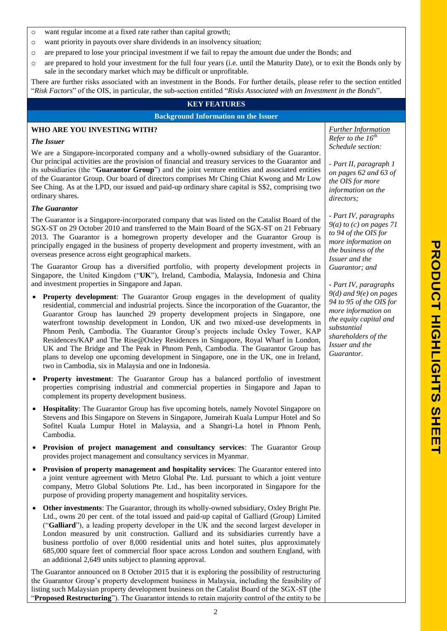**PRODOODICHTS**  $\overline{a}$ Ĩ  $\overline{\mathsf{m}}$ П

- o want regular income at a fixed rate rather than capital growth;
- o want priority in payouts over share dividends in an insolvency situation;
- o are prepared to lose your principal investment if we fail to repay the amount due under the Bonds; and
- o are prepared to hold your investment for the full four years (i.e. until the Maturity Date), or to exit the Bonds only by sale in the secondary market which may be difficult or unprofitable.

There are further risks associated with an investment in the Bonds. For further details, please refer to the section entitled "*Risk Factors*" of the OIS, in particular, the sub-section entitled "*Risks Associated with an Investment in the Bonds*".

## **KEY FEATURES**

**Background Information on the Issuer**

## **WHO ARE YOU INVESTING WITH?**

### *The Issuer*

We are a Singapore-incorporated company and a wholly-owned subsidiary of the Guarantor. Our principal activities are the provision of financial and treasury services to the Guarantor and its subsidiaries (the "**Guarantor Group**") and the joint venture entities and associated entities of the Guarantor Group. Our board of directors comprises Mr Ching Chiat Kwong and Mr Low See Ching. As at the LPD, our issued and paid-up ordinary share capital is S\$2, comprising two ordinary shares.

## *The Guarantor*

The Guarantor is a Singapore-incorporated company that was listed on the Catalist Board of the SGX-ST on 29 October 2010 and transferred to the Main Board of the SGX-ST on 21 February 2013. The Guarantor is a homegrown property developer and the Guarantor Group is principally engaged in the business of property development and property investment, with an overseas presence across eight geographical markets.

The Guarantor Group has a diversified portfolio, with property development projects in Singapore, the United Kingdom ("**UK**"), Ireland, Cambodia, Malaysia, Indonesia and China and investment properties in Singapore and Japan.

- **Property development**: The Guarantor Group engages in the development of quality residential, commercial and industrial projects. Since the incorporation of the Guarantor, the Guarantor Group has launched 29 property development projects in Singapore, one waterfront township development in London, UK and two mixed-use developments in Phnom Penh, Cambodia. The Guarantor Group's projects include Oxley Tower, KAP Residences/KAP and The Rise@Oxley Residences in Singapore, Royal Wharf in London, UK and The Bridge and The Peak in Phnom Penh, Cambodia. The Guarantor Group has plans to develop one upcoming development in Singapore, one in the UK, one in Ireland, two in Cambodia, six in Malaysia and one in Indonesia.
- **Property investment**: The Guarantor Group has a balanced portfolio of investment properties comprising industrial and commercial properties in Singapore and Japan to complement its property development business.
- **Hospitality**: The Guarantor Group has five upcoming hotels, namely Novotel Singapore on Stevens and Ibis Singapore on Stevens in Singapore, Jumeirah Kuala Lumpur Hotel and So Sofitel Kuala Lumpur Hotel in Malaysia, and a Shangri-La hotel in Phnom Penh, Cambodia.
- **Provision of project management and consultancy services**: The Guarantor Group provides project management and consultancy services in Myanmar.
- **Provision of property management and hospitality services**: The Guarantor entered into a joint venture agreement with Metro Global Pte. Ltd. pursuant to which a joint venture company, Metro Global Solutions Pte. Ltd., has been incorporated in Singapore for the purpose of providing property management and hospitality services.
- **Other investments**: The Guarantor, through its wholly-owned subsidiary, Oxley Bright Pte. Ltd., owns 20 per cent. of the total issued and paid-up capital of Galliard (Group) Limited ("**Galliard**"), a leading property developer in the UK and the second largest developer in London measured by unit construction. Galliard and its subsidiaries currently have a business portfolio of over 8,000 residential units and hotel suites, plus approximately 685,000 square feet of commercial floor space across London and southern England, with an additional 2,649 units subject to planning approval.

The Guarantor announced on 8 October 2015 that it is exploring the possibility of restructuring the Guarantor Group's property development business in Malaysia, including the feasibility of listing such Malaysian property development business on the Catalist Board of the SGX-ST (the "**Proposed Restructuring**"). The Guarantor intends to retain majority control of the entity to be

*Further Information Refer to the 16th Schedule section:*

*- Part II, paragraph 1 on pages 62 and 63 of the OIS for more information on the directors;* 

*- Part IV, paragraphs 9(a) to (c) on pages 71 to 94 of the OIS for more information on the business of the Issuer and the Guarantor; and*

*- Part IV, paragraphs 9(d) and 9(e) on pages 94 to 95 of the OIS for more information on the equity capital and substantial shareholders of the Issuer and the Guarantor.*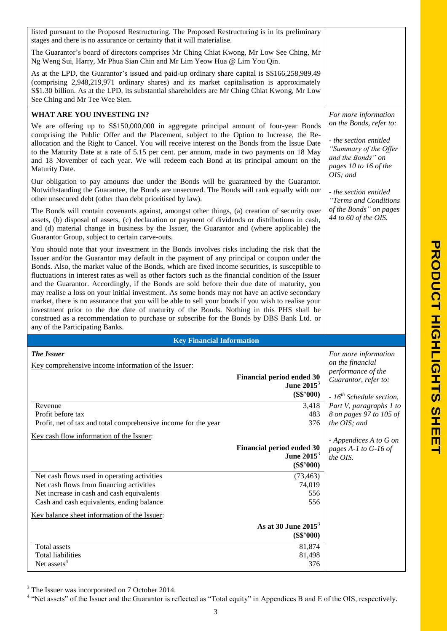| listed pursuant to the Proposed Restructuring. The Proposed Restructuring is in its preliminary                                                                                                                                                                                                                                                                                                                                                                                                                                                                                                                                                                                                                                                                                                                                                                                                        |                                                                                                                                      |                                                 |
|--------------------------------------------------------------------------------------------------------------------------------------------------------------------------------------------------------------------------------------------------------------------------------------------------------------------------------------------------------------------------------------------------------------------------------------------------------------------------------------------------------------------------------------------------------------------------------------------------------------------------------------------------------------------------------------------------------------------------------------------------------------------------------------------------------------------------------------------------------------------------------------------------------|--------------------------------------------------------------------------------------------------------------------------------------|-------------------------------------------------|
| stages and there is no assurance or certainty that it will materialise.                                                                                                                                                                                                                                                                                                                                                                                                                                                                                                                                                                                                                                                                                                                                                                                                                                |                                                                                                                                      |                                                 |
| The Guarantor's board of directors comprises Mr Ching Chiat Kwong, Mr Low See Ching, Mr<br>Ng Weng Sui, Harry, Mr Phua Sian Chin and Mr Lim Yeow Hua @ Lim You Qin.                                                                                                                                                                                                                                                                                                                                                                                                                                                                                                                                                                                                                                                                                                                                    |                                                                                                                                      |                                                 |
| As at the LPD, the Guarantor's issued and paid-up ordinary share capital is \$\$166,258,989.49<br>(comprising 2,948,219,971 ordinary shares) and its market capitalisation is approximately<br>S\$1.30 billion. As at the LPD, its substantial shareholders are Mr Ching Chiat Kwong, Mr Low<br>See Ching and Mr Tee Wee Sien.                                                                                                                                                                                                                                                                                                                                                                                                                                                                                                                                                                         |                                                                                                                                      |                                                 |
| WHAT ARE YOU INVESTING IN?                                                                                                                                                                                                                                                                                                                                                                                                                                                                                                                                                                                                                                                                                                                                                                                                                                                                             |                                                                                                                                      | For more information                            |
| We are offering up to S\$150,000,000 in aggregate principal amount of four-year Bonds<br>comprising the Public Offer and the Placement, subject to the Option to Increase, the Re-<br>allocation and the Right to Cancel. You will receive interest on the Bonds from the Issue Date<br>to the Maturity Date at a rate of 5.15 per cent. per annum, made in two payments on 18 May<br>and 18 November of each year. We will redeem each Bond at its principal amount on the<br>Maturity Date.                                                                                                                                                                                                                                                                                                                                                                                                          | on the Bonds, refer to:<br>- the section entitled<br>"Summary of the Offer<br>and the Bonds" on<br>pages 10 to 16 of the<br>OIS; and |                                                 |
| Our obligation to pay amounts due under the Bonds will be guaranteed by the Guarantor.<br>Notwithstanding the Guarantee, the Bonds are unsecured. The Bonds will rank equally with our<br>other unsecured debt (other than debt prioritised by law).                                                                                                                                                                                                                                                                                                                                                                                                                                                                                                                                                                                                                                                   |                                                                                                                                      | - the section entitled<br>"Terms and Conditions |
| The Bonds will contain covenants against, amongst other things, (a) creation of security over<br>assets, (b) disposal of assets, (c) declaration or payment of dividends or distributions in cash,<br>and (d) material change in business by the Issuer, the Guarantor and (where applicable) the<br>Guarantor Group, subject to certain carve-outs.                                                                                                                                                                                                                                                                                                                                                                                                                                                                                                                                                   |                                                                                                                                      | of the Bonds" on pages<br>44 to 60 of the OIS.  |
| You should note that your investment in the Bonds involves risks including the risk that the<br>Issuer and/or the Guarantor may default in the payment of any principal or coupon under the<br>Bonds. Also, the market value of the Bonds, which are fixed income securities, is susceptible to<br>fluctuations in interest rates as well as other factors such as the financial condition of the Issuer<br>and the Guarantor. Accordingly, if the Bonds are sold before their due date of maturity, you<br>may realise a loss on your initial investment. As some bonds may not have an active secondary<br>market, there is no assurance that you will be able to sell your bonds if you wish to realise your<br>investment prior to the due date of maturity of the Bonds. Nothing in this PHS shall be<br>construed as a recommendation to purchase or subscribe for the Bonds by DBS Bank Ltd. or |                                                                                                                                      |                                                 |
| any of the Participating Banks.                                                                                                                                                                                                                                                                                                                                                                                                                                                                                                                                                                                                                                                                                                                                                                                                                                                                        |                                                                                                                                      |                                                 |
| <b>Key Financial Information</b>                                                                                                                                                                                                                                                                                                                                                                                                                                                                                                                                                                                                                                                                                                                                                                                                                                                                       |                                                                                                                                      |                                                 |
|                                                                                                                                                                                                                                                                                                                                                                                                                                                                                                                                                                                                                                                                                                                                                                                                                                                                                                        |                                                                                                                                      |                                                 |
| <b>The Issuer</b>                                                                                                                                                                                                                                                                                                                                                                                                                                                                                                                                                                                                                                                                                                                                                                                                                                                                                      |                                                                                                                                      | For more information                            |
| Key comprehensive income information of the Issuer:                                                                                                                                                                                                                                                                                                                                                                                                                                                                                                                                                                                                                                                                                                                                                                                                                                                    |                                                                                                                                      | on the financial<br>performance of the          |
|                                                                                                                                                                                                                                                                                                                                                                                                                                                                                                                                                                                                                                                                                                                                                                                                                                                                                                        | <b>Financial period ended 30</b>                                                                                                     | Guarantor, refer to:                            |
|                                                                                                                                                                                                                                                                                                                                                                                                                                                                                                                                                                                                                                                                                                                                                                                                                                                                                                        | June $2015^3$<br>(S\$'000)                                                                                                           | $-16^{th}$ Schedule section,                    |
| Revenue                                                                                                                                                                                                                                                                                                                                                                                                                                                                                                                                                                                                                                                                                                                                                                                                                                                                                                | 3,418                                                                                                                                | Part V, paragraphs 1 to                         |
| Profit before tax                                                                                                                                                                                                                                                                                                                                                                                                                                                                                                                                                                                                                                                                                                                                                                                                                                                                                      | 483<br>376                                                                                                                           | 8 on pages 97 to 105 of<br>the OIS; and         |
| Profit, net of tax and total comprehensive income for the year                                                                                                                                                                                                                                                                                                                                                                                                                                                                                                                                                                                                                                                                                                                                                                                                                                         |                                                                                                                                      |                                                 |
| Key cash flow information of the Issuer:                                                                                                                                                                                                                                                                                                                                                                                                                                                                                                                                                                                                                                                                                                                                                                                                                                                               |                                                                                                                                      | - Appendices A to G on                          |
|                                                                                                                                                                                                                                                                                                                                                                                                                                                                                                                                                                                                                                                                                                                                                                                                                                                                                                        | <b>Financial period ended 30</b><br>June $2015^3$                                                                                    | pages A-1 to G-16 of<br>the OIS.                |
|                                                                                                                                                                                                                                                                                                                                                                                                                                                                                                                                                                                                                                                                                                                                                                                                                                                                                                        | (S\$'000)                                                                                                                            |                                                 |
| Net cash flows used in operating activities                                                                                                                                                                                                                                                                                                                                                                                                                                                                                                                                                                                                                                                                                                                                                                                                                                                            | (73, 463)                                                                                                                            |                                                 |
| Net cash flows from financing activities<br>Net increase in cash and cash equivalents                                                                                                                                                                                                                                                                                                                                                                                                                                                                                                                                                                                                                                                                                                                                                                                                                  | 74,019<br>556<br>556                                                                                                                 |                                                 |
| Cash and cash equivalents, ending balance<br>Key balance sheet information of the Issuer:                                                                                                                                                                                                                                                                                                                                                                                                                                                                                                                                                                                                                                                                                                                                                                                                              |                                                                                                                                      |                                                 |
|                                                                                                                                                                                                                                                                                                                                                                                                                                                                                                                                                                                                                                                                                                                                                                                                                                                                                                        | As at 30 June $2015^3$<br>(S\$'000)                                                                                                  |                                                 |
| Total assets                                                                                                                                                                                                                                                                                                                                                                                                                                                                                                                                                                                                                                                                                                                                                                                                                                                                                           | 81,874                                                                                                                               |                                                 |
| <b>Total liabilities</b><br>Net assets <sup>4</sup>                                                                                                                                                                                                                                                                                                                                                                                                                                                                                                                                                                                                                                                                                                                                                                                                                                                    | 81,498<br>376                                                                                                                        |                                                 |

 $\overline{a}$ 

<sup>&</sup>lt;sup>3</sup> The Issuer was incorporated on 7 October 2014.<br><sup>4</sup> "Net assets" of the Issuer and the Guarantor is reflected as "Total equity" in Appendices B and E of the OIS, respectively.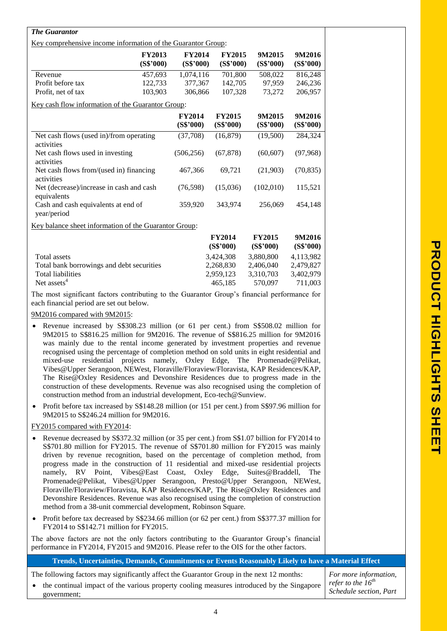| <b>The Guarantor</b>                                                                                                                                                                                                                                                                                                                                                                                                                                                                                                                                                                                                                                                                                                       |                               |                            |                            |                            |                      |                                                  |
|----------------------------------------------------------------------------------------------------------------------------------------------------------------------------------------------------------------------------------------------------------------------------------------------------------------------------------------------------------------------------------------------------------------------------------------------------------------------------------------------------------------------------------------------------------------------------------------------------------------------------------------------------------------------------------------------------------------------------|-------------------------------|----------------------------|----------------------------|----------------------------|----------------------|--------------------------------------------------|
| Key comprehensive income information of the Guarantor Group:                                                                                                                                                                                                                                                                                                                                                                                                                                                                                                                                                                                                                                                               |                               |                            |                            |                            |                      |                                                  |
|                                                                                                                                                                                                                                                                                                                                                                                                                                                                                                                                                                                                                                                                                                                            | <b>FY2013</b><br>(S\$'000)    | <b>FY2014</b><br>(S\$'000) | <b>FY2015</b><br>(S\$'000) | 9M2015<br>(S\$'000)        | 9M2016<br>(S\$'000)  |                                                  |
| Revenue                                                                                                                                                                                                                                                                                                                                                                                                                                                                                                                                                                                                                                                                                                                    | 457,693                       | 1,074,116                  | 701,800                    | 508,022                    | 816,248              |                                                  |
| Profit before tax                                                                                                                                                                                                                                                                                                                                                                                                                                                                                                                                                                                                                                                                                                          | 122,733                       | 377,367                    | 142,705                    | 97,959                     | 246,236              |                                                  |
| Profit, net of tax                                                                                                                                                                                                                                                                                                                                                                                                                                                                                                                                                                                                                                                                                                         | 103,903                       | 306,866                    | 107,328                    | 73,272                     | 206,957              |                                                  |
| Key cash flow information of the Guarantor Group:                                                                                                                                                                                                                                                                                                                                                                                                                                                                                                                                                                                                                                                                          |                               |                            |                            |                            |                      |                                                  |
|                                                                                                                                                                                                                                                                                                                                                                                                                                                                                                                                                                                                                                                                                                                            |                               | <b>FY2014</b><br>(S\$'000) | <b>FY2015</b><br>(S\$'000) | 9M2015<br>(S\$'000)        | 9M2016<br>(S\$'000)  |                                                  |
| Net cash flows (used in)/from operating<br>activities                                                                                                                                                                                                                                                                                                                                                                                                                                                                                                                                                                                                                                                                      |                               | (37,708)                   | (16, 879)                  | (19,500)                   | 284,324              |                                                  |
| Net cash flows used in investing<br>activities                                                                                                                                                                                                                                                                                                                                                                                                                                                                                                                                                                                                                                                                             |                               | (506, 256)                 | (67, 878)                  | (60, 607)                  | (97, 968)            |                                                  |
| Net cash flows from/(used in) financing<br>activities                                                                                                                                                                                                                                                                                                                                                                                                                                                                                                                                                                                                                                                                      |                               | 467,366                    | 69,721                     | (21,903)                   | (70, 835)            |                                                  |
| Net (decrease)/increase in cash and cash<br>equivalents                                                                                                                                                                                                                                                                                                                                                                                                                                                                                                                                                                                                                                                                    |                               | (76, 598)                  | (15,036)                   | (102,010)                  | 115,521              |                                                  |
| Cash and cash equivalents at end of<br>year/period                                                                                                                                                                                                                                                                                                                                                                                                                                                                                                                                                                                                                                                                         |                               | 359,920                    | 343,974                    | 256,069                    | 454,148              |                                                  |
| Key balance sheet information of the Guarantor Group:                                                                                                                                                                                                                                                                                                                                                                                                                                                                                                                                                                                                                                                                      |                               |                            |                            |                            |                      |                                                  |
|                                                                                                                                                                                                                                                                                                                                                                                                                                                                                                                                                                                                                                                                                                                            |                               |                            | <b>FY2014</b><br>(S\$'000) | <b>FY2015</b><br>(S\$'000) | 9M2016<br>(S\$'000)  |                                                  |
| Total assets                                                                                                                                                                                                                                                                                                                                                                                                                                                                                                                                                                                                                                                                                                               |                               |                            | 3,424,308                  | 3,880,800                  | 4,113,982            |                                                  |
| Total bank borrowings and debt securities<br><b>Total liabilities</b>                                                                                                                                                                                                                                                                                                                                                                                                                                                                                                                                                                                                                                                      |                               |                            | 2,268,830                  | 2,406,040                  | 2,479,827            |                                                  |
| Net assets <sup>4</sup>                                                                                                                                                                                                                                                                                                                                                                                                                                                                                                                                                                                                                                                                                                    |                               |                            | 2,959,123<br>465,185       | 3,310,703<br>570,097       | 3,402,979<br>711,003 |                                                  |
| The most significant factors contributing to the Guarantor Group's financial performance for<br>each financial period are set out below.                                                                                                                                                                                                                                                                                                                                                                                                                                                                                                                                                                                   |                               |                            |                            |                            |                      |                                                  |
| 9M2016 compared with 9M2015:<br>Revenue increased by S\$308.23 million (or 61 per cent.) from S\$508.02 million for                                                                                                                                                                                                                                                                                                                                                                                                                                                                                                                                                                                                        |                               |                            |                            |                            |                      |                                                  |
| 9M2015 to S\$816.25 million for 9M2016. The revenue of S\$816.25 million for 9M2016<br>was mainly due to the rental income generated by investment properties and revenue<br>recognised using the percentage of completion method on sold units in eight residential and<br>mixed-use residential projects namely, Oxley Edge, The Promenade@Pelikat,<br>Vibes@Upper Serangoon, NEWest, Floraville/Floraview/Floravista, KAP Residences/KAP,<br>The Rise@Oxley Residences and Devonshire Residences due to progress made in the<br>construction of these developments. Revenue was also recognised using the completion of<br>construction method from an industrial development, Eco-tech@Sunview.                        |                               |                            |                            |                            |                      |                                                  |
| Profit before tax increased by S\$148.28 million (or 151 per cent.) from S\$97.96 million for<br>$\bullet$<br>9M2015 to S\$246.24 million for 9M2016.                                                                                                                                                                                                                                                                                                                                                                                                                                                                                                                                                                      |                               |                            |                            |                            |                      |                                                  |
| FY2015 compared with FY2014:                                                                                                                                                                                                                                                                                                                                                                                                                                                                                                                                                                                                                                                                                               |                               |                            |                            |                            |                      |                                                  |
| Revenue decreased by S\$372.32 million (or 35 per cent.) from S\$1.07 billion for FY2014 to<br>S\$701.80 million for FY2015. The revenue of S\$701.80 million for FY2015 was mainly<br>driven by revenue recognition, based on the percentage of completion method, from<br>progress made in the construction of 11 residential and mixed-use residential projects<br>RV Point,<br>namely,<br>Promenade@Pelikat, Vibes@Upper Serangoon, Presto@Upper Serangoon, NEWest,<br>Floraville/Floraview/Floravista, KAP Residences/KAP, The Rise@Oxley Residences and<br>Devonshire Residences. Revenue was also recognised using the completion of construction<br>method from a 38-unit commercial development, Robinson Square. | Vibes@East Coast, Oxley Edge, |                            |                            | Suites@Braddell,           | The                  |                                                  |
| Profit before tax decreased by S\$234.66 million (or 62 per cent.) from S\$377.37 million for<br>$\bullet$<br>FY2014 to S\$142.71 million for FY2015.                                                                                                                                                                                                                                                                                                                                                                                                                                                                                                                                                                      |                               |                            |                            |                            |                      |                                                  |
| The above factors are not the only factors contributing to the Guarantor Group's financial<br>performance in FY2014, FY2015 and 9M2016. Please refer to the OIS for the other factors.                                                                                                                                                                                                                                                                                                                                                                                                                                                                                                                                     |                               |                            |                            |                            |                      |                                                  |
| Trends, Uncertainties, Demands, Commitments or Events Reasonably Likely to have a Material Effect                                                                                                                                                                                                                                                                                                                                                                                                                                                                                                                                                                                                                          |                               |                            |                            |                            |                      |                                                  |
| The following factors may significantly affect the Guarantor Group in the next 12 months:                                                                                                                                                                                                                                                                                                                                                                                                                                                                                                                                                                                                                                  |                               |                            |                            |                            |                      | For more information,                            |
| the continual impact of the various property cooling measures introduced by the Singapore<br>government;                                                                                                                                                                                                                                                                                                                                                                                                                                                                                                                                                                                                                   |                               |                            |                            |                            |                      | refer to the $16^{th}$<br>Schedule section, Part |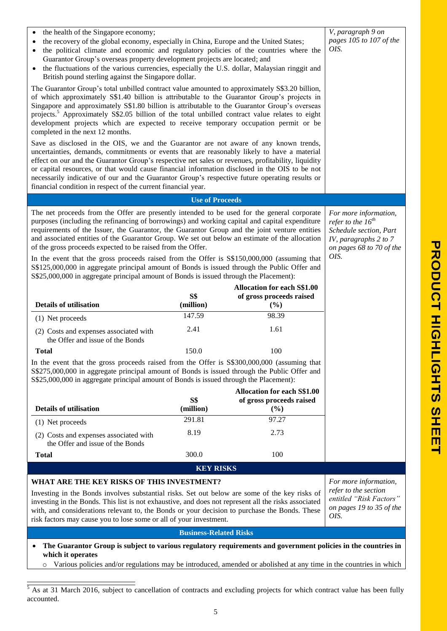| the health of the Singapore economy;<br>$\bullet$<br>the recovery of the global economy, especially in China, Europe and the United States;<br>the political climate and economic and regulatory policies of the countries where the<br>Guarantor Group's overseas property development projects are located; and<br>the fluctuations of the various currencies, especially the U.S. dollar, Malaysian ringgit and<br>British pound sterling against the Singapore dollar.<br>The Guarantor Group's total unbilled contract value amounted to approximately S\$3.20 billion,<br>of which approximately S\$1.40 billion is attributable to the Guarantor Group's projects in<br>Singapore and approximately S\$1.80 billion is attributable to the Guarantor Group's overseas<br>projects. <sup>5</sup> Approximately S\$2.05 billion of the total unbilled contract value relates to eight<br>development projects which are expected to receive temporary occupation permit or be<br>completed in the next 12 months.<br>Save as disclosed in the OIS, we and the Guarantor are not aware of any known trends,<br>uncertainties, demands, commitments or events that are reasonably likely to have a material<br>effect on our and the Guarantor Group's respective net sales or revenues, profitability, liquidity<br>or capital resources, or that would cause financial information disclosed in the OIS to be not<br>necessarily indicative of our and the Guarantor Group's respective future operating results or<br>financial condition in respect of the current financial year. | V, paragraph 9 on<br>pages 105 to 107 of the<br>OIS.                                                                                   |                                    |                       |
|-------------------------------------------------------------------------------------------------------------------------------------------------------------------------------------------------------------------------------------------------------------------------------------------------------------------------------------------------------------------------------------------------------------------------------------------------------------------------------------------------------------------------------------------------------------------------------------------------------------------------------------------------------------------------------------------------------------------------------------------------------------------------------------------------------------------------------------------------------------------------------------------------------------------------------------------------------------------------------------------------------------------------------------------------------------------------------------------------------------------------------------------------------------------------------------------------------------------------------------------------------------------------------------------------------------------------------------------------------------------------------------------------------------------------------------------------------------------------------------------------------------------------------------------------------------------------------------------|----------------------------------------------------------------------------------------------------------------------------------------|------------------------------------|-----------------------|
|                                                                                                                                                                                                                                                                                                                                                                                                                                                                                                                                                                                                                                                                                                                                                                                                                                                                                                                                                                                                                                                                                                                                                                                                                                                                                                                                                                                                                                                                                                                                                                                           | <b>Use of Proceeds</b>                                                                                                                 |                                    |                       |
| The net proceeds from the Offer are presently intended to be used for the general corporate<br>purposes (including the refinancing of borrowings) and working capital and capital expenditure<br>requirements of the Issuer, the Guarantor, the Guarantor Group and the joint venture entities<br>and associated entities of the Guarantor Group. We set out below an estimate of the allocation<br>of the gross proceeds expected to be raised from the Offer.<br>In the event that the gross proceeds raised from the Offer is \$\$150,000,000 (assuming that<br>S\$125,000,000 in aggregate principal amount of Bonds is issued through the Public Offer and<br>S\$25,000,000 in aggregate principal amount of Bonds is issued through the Placement):                                                                                                                                                                                                                                                                                                                                                                                                                                                                                                                                                                                                                                                                                                                                                                                                                                 | For more information,<br>refer to the $16^{th}$<br>Schedule section, Part<br>IV, paragraphs 2 to 7<br>on pages 68 to 70 of the<br>OIS. |                                    |                       |
|                                                                                                                                                                                                                                                                                                                                                                                                                                                                                                                                                                                                                                                                                                                                                                                                                                                                                                                                                                                                                                                                                                                                                                                                                                                                                                                                                                                                                                                                                                                                                                                           |                                                                                                                                        | <b>Allocation for each S\$1.00</b> |                       |
| <b>Details of utilisation</b>                                                                                                                                                                                                                                                                                                                                                                                                                                                                                                                                                                                                                                                                                                                                                                                                                                                                                                                                                                                                                                                                                                                                                                                                                                                                                                                                                                                                                                                                                                                                                             | S\$<br>(million)                                                                                                                       | of gross proceeds raised<br>(%)    |                       |
| (1) Net proceeds                                                                                                                                                                                                                                                                                                                                                                                                                                                                                                                                                                                                                                                                                                                                                                                                                                                                                                                                                                                                                                                                                                                                                                                                                                                                                                                                                                                                                                                                                                                                                                          | 147.59                                                                                                                                 | 98.39                              |                       |
| (2) Costs and expenses associated with<br>the Offer and issue of the Bonds                                                                                                                                                                                                                                                                                                                                                                                                                                                                                                                                                                                                                                                                                                                                                                                                                                                                                                                                                                                                                                                                                                                                                                                                                                                                                                                                                                                                                                                                                                                | 2.41                                                                                                                                   | 1.61                               |                       |
| <b>Total</b>                                                                                                                                                                                                                                                                                                                                                                                                                                                                                                                                                                                                                                                                                                                                                                                                                                                                                                                                                                                                                                                                                                                                                                                                                                                                                                                                                                                                                                                                                                                                                                              | 150.0                                                                                                                                  | 100                                |                       |
| In the event that the gross proceeds raised from the Offer is \$\$300,000,000 (assuming that<br>S\$275,000,000 in aggregate principal amount of Bonds is issued through the Public Offer and<br>S\$25,000,000 in aggregate principal amount of Bonds is issued through the Placement):                                                                                                                                                                                                                                                                                                                                                                                                                                                                                                                                                                                                                                                                                                                                                                                                                                                                                                                                                                                                                                                                                                                                                                                                                                                                                                    |                                                                                                                                        | <b>Allocation for each S\$1.00</b> |                       |
| <b>Details of utilisation</b>                                                                                                                                                                                                                                                                                                                                                                                                                                                                                                                                                                                                                                                                                                                                                                                                                                                                                                                                                                                                                                                                                                                                                                                                                                                                                                                                                                                                                                                                                                                                                             | <b>S\$</b><br>(million)                                                                                                                | of gross proceeds raised<br>(%)    |                       |
| (1) Net proceeds                                                                                                                                                                                                                                                                                                                                                                                                                                                                                                                                                                                                                                                                                                                                                                                                                                                                                                                                                                                                                                                                                                                                                                                                                                                                                                                                                                                                                                                                                                                                                                          | 291.81                                                                                                                                 | 97.27                              |                       |
| (2) Costs and expenses associated with<br>the Offer and issue of the Bonds                                                                                                                                                                                                                                                                                                                                                                                                                                                                                                                                                                                                                                                                                                                                                                                                                                                                                                                                                                                                                                                                                                                                                                                                                                                                                                                                                                                                                                                                                                                | 8.19                                                                                                                                   | 2.73                               |                       |
| <b>Total</b>                                                                                                                                                                                                                                                                                                                                                                                                                                                                                                                                                                                                                                                                                                                                                                                                                                                                                                                                                                                                                                                                                                                                                                                                                                                                                                                                                                                                                                                                                                                                                                              | 300.0                                                                                                                                  | 100                                |                       |
|                                                                                                                                                                                                                                                                                                                                                                                                                                                                                                                                                                                                                                                                                                                                                                                                                                                                                                                                                                                                                                                                                                                                                                                                                                                                                                                                                                                                                                                                                                                                                                                           | <b>KEY RISKS</b>                                                                                                                       |                                    |                       |
| WHAT ARE THE KEY RISKS OF THIS INVESTMENT?                                                                                                                                                                                                                                                                                                                                                                                                                                                                                                                                                                                                                                                                                                                                                                                                                                                                                                                                                                                                                                                                                                                                                                                                                                                                                                                                                                                                                                                                                                                                                |                                                                                                                                        |                                    | For more information, |
| Investing in the Bonds involves substantial risks. Set out below are some of the key risks of<br>investing in the Bonds. This list is not exhaustive, and does not represent all the risks associated<br>with, and considerations relevant to, the Bonds or your decision to purchase the Bonds. These<br>risk factors may cause you to lose some or all of your investment.                                                                                                                                                                                                                                                                                                                                                                                                                                                                                                                                                                                                                                                                                                                                                                                                                                                                                                                                                                                                                                                                                                                                                                                                              | refer to the section<br>entitled "Risk Factors"<br>on pages 19 to 35 of the<br>OIS.                                                    |                                    |                       |
|                                                                                                                                                                                                                                                                                                                                                                                                                                                                                                                                                                                                                                                                                                                                                                                                                                                                                                                                                                                                                                                                                                                                                                                                                                                                                                                                                                                                                                                                                                                                                                                           | <b>Business-Related Risks</b>                                                                                                          |                                    |                       |
| The Guarantor Group is subject to various regulatory requirements and government policies in the countries in<br>٠<br>which it operates                                                                                                                                                                                                                                                                                                                                                                                                                                                                                                                                                                                                                                                                                                                                                                                                                                                                                                                                                                                                                                                                                                                                                                                                                                                                                                                                                                                                                                                   |                                                                                                                                        |                                    |                       |

o Various policies and/or regulations may be introduced, amended or abolished at any time in the countries in which

 $\overline{a}$  $<sup>5</sup>$  As at 31 March 2016, subject to cancellation of contracts and excluding projects for which contract value has been fully</sup> accounted.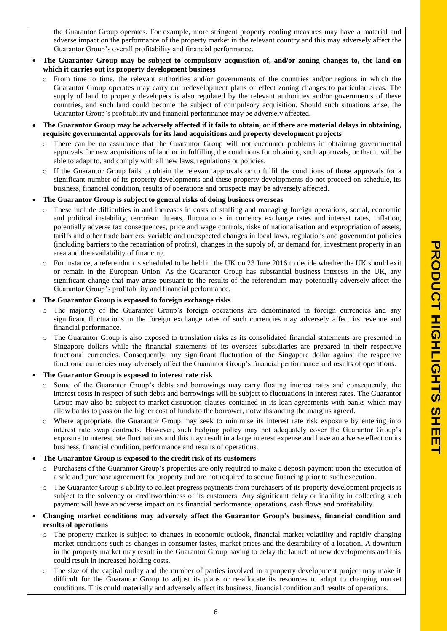the Guarantor Group operates. For example, more stringent property cooling measures may have a material and adverse impact on the performance of the property market in the relevant country and this may adversely affect the Guarantor Group's overall profitability and financial performance.

- **The Guarantor Group may be subject to compulsory acquisition of, and/or zoning changes to, the land on which it carries out its property development business**
	- $\circ$  From time to time, the relevant authorities and/or governments of the countries and/or regions in which the Guarantor Group operates may carry out redevelopment plans or effect zoning changes to particular areas. The supply of land to property developers is also regulated by the relevant authorities and/or governments of these countries, and such land could become the subject of compulsory acquisition. Should such situations arise, the Guarantor Group's profitability and financial performance may be adversely affected.
- **The Guarantor Group may be adversely affected if it fails to obtain, or if there are material delays in obtaining, requisite governmental approvals for its land acquisitions and property development projects**
	- o There can be no assurance that the Guarantor Group will not encounter problems in obtaining governmental approvals for new acquisitions of land or in fulfilling the conditions for obtaining such approvals, or that it will be able to adapt to, and comply with all new laws, regulations or policies.
	- $\circ$  If the Guarantor Group fails to obtain the relevant approvals or to fulfil the conditions of those approvals for a significant number of its property developments and these property developments do not proceed on schedule, its business, financial condition, results of operations and prospects may be adversely affected.
- **The Guarantor Group is subject to general risks of doing business overseas**
	- o These include difficulties in and increases in costs of staffing and managing foreign operations, social, economic and political instability, terrorism threats, fluctuations in currency exchange rates and interest rates, inflation, potentially adverse tax consequences, price and wage controls, risks of nationalisation and expropriation of assets, tariffs and other trade barriers, variable and unexpected changes in local laws, regulations and government policies (including barriers to the repatriation of profits), changes in the supply of, or demand for, investment property in an area and the availability of financing.
	- $\circ$  For instance, a referendum is scheduled to be held in the UK on 23 June 2016 to decide whether the UK should exit or remain in the European Union. As the Guarantor Group has substantial business interests in the UK, any significant change that may arise pursuant to the results of the referendum may potentially adversely affect the Guarantor Group's profitability and financial performance.

## **The Guarantor Group is exposed to foreign exchange risks**

- o The majority of the Guarantor Group's foreign operations are denominated in foreign currencies and any significant fluctuations in the foreign exchange rates of such currencies may adversely affect its revenue and financial performance.
- o The Guarantor Group is also exposed to translation risks as its consolidated financial statements are presented in Singapore dollars while the financial statements of its overseas subsidiaries are prepared in their respective functional currencies. Consequently, any significant fluctuation of the Singapore dollar against the respective functional currencies may adversely affect the Guarantor Group's financial performance and results of operations.

## **The Guarantor Group is exposed to interest rate risk**

- Some of the Guarantor Group's debts and borrowings may carry floating interest rates and consequently, the interest costs in respect of such debts and borrowings will be subject to fluctuations in interest rates. The Guarantor Group may also be subject to market disruption clauses contained in its loan agreements with banks which may allow banks to pass on the higher cost of funds to the borrower, notwithstanding the margins agreed.
- o Where appropriate, the Guarantor Group may seek to minimise its interest rate risk exposure by entering into interest rate swap contracts. However, such hedging policy may not adequately cover the Guarantor Group's exposure to interest rate fluctuations and this may result in a large interest expense and have an adverse effect on its business, financial condition, performance and results of operations.

## **The Guarantor Group is exposed to the credit risk of its customers**

- o Purchasers of the Guarantor Group's properties are only required to make a deposit payment upon the execution of a sale and purchase agreement for property and are not required to secure financing prior to such execution.
- o The Guarantor Group's ability to collect progress payments from purchasers of its property development projects is subject to the solvency or creditworthiness of its customers. Any significant delay or inability in collecting such payment will have an adverse impact on its financial performance, operations, cash flows and profitability.

## **Changing market conditions may adversely affect the Guarantor Group's business, financial condition and results of operations**

- o The property market is subject to changes in economic outlook, financial market volatility and rapidly changing market conditions such as changes in consumer tastes, market prices and the desirability of a location. A downturn in the property market may result in the Guarantor Group having to delay the launch of new developments and this could result in increased holding costs.
- o The size of the capital outlay and the number of parties involved in a property development project may make it difficult for the Guarantor Group to adjust its plans or re-allocate its resources to adapt to changing market conditions. This could materially and adversely affect its business, financial condition and results of operations.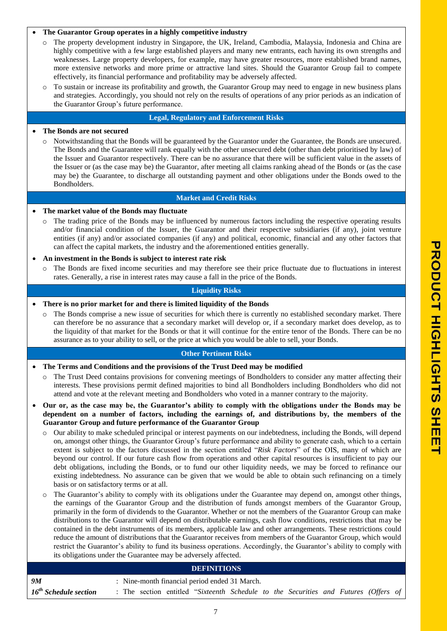## **The Guarantor Group operates in a highly competitive industry**

- o The property development industry in Singapore, the UK, Ireland, Cambodia, Malaysia, Indonesia and China are highly competitive with a few large established players and many new entrants, each having its own strengths and weaknesses. Large property developers, for example, may have greater resources, more established brand names, more extensive networks and more prime or attractive land sites. Should the Guarantor Group fail to compete effectively, its financial performance and profitability may be adversely affected.
- To sustain or increase its profitability and growth, the Guarantor Group may need to engage in new business plans and strategies. Accordingly, you should not rely on the results of operations of any prior periods as an indication of the Guarantor Group's future performance.

#### **Legal, Regulatory and Enforcement Risks**

#### **The Bonds are not secured**

o Notwithstanding that the Bonds will be guaranteed by the Guarantor under the Guarantee, the Bonds are unsecured. The Bonds and the Guarantee will rank equally with the other unsecured debt (other than debt prioritised by law) of the Issuer and Guarantor respectively. There can be no assurance that there will be sufficient value in the assets of the Issuer or (as the case may be) the Guarantor, after meeting all claims ranking ahead of the Bonds or (as the case may be) the Guarantee, to discharge all outstanding payment and other obligations under the Bonds owed to the Bondholders.

#### **Market and Credit Risks**

#### **The market value of the Bonds may fluctuate**

o The trading price of the Bonds may be influenced by numerous factors including the respective operating results and/or financial condition of the Issuer, the Guarantor and their respective subsidiaries (if any), joint venture entities (if any) and/or associated companies (if any) and political, economic, financial and any other factors that can affect the capital markets, the industry and the aforementioned entities generally.

#### **An investment in the Bonds is subject to interest rate risk**

The Bonds are fixed income securities and may therefore see their price fluctuate due to fluctuations in interest rates. Generally, a rise in interest rates may cause a fall in the price of the Bonds.

## **Liquidity Risks**

#### **There is no prior market for and there is limited liquidity of the Bonds**

o The Bonds comprise a new issue of securities for which there is currently no established secondary market. There can therefore be no assurance that a secondary market will develop or, if a secondary market does develop, as to the liquidity of that market for the Bonds or that it will continue for the entire tenor of the Bonds. There can be no assurance as to your ability to sell, or the price at which you would be able to sell, your Bonds.

#### **Other Pertinent Risks**

- **The Terms and Conditions and the provisions of the Trust Deed may be modified**
	- The Trust Deed contains provisions for convening meetings of Bondholders to consider any matter affecting their interests. These provisions permit defined majorities to bind all Bondholders including Bondholders who did not attend and vote at the relevant meeting and Bondholders who voted in a manner contrary to the majority.
- **Our or, as the case may be, the Guarantor's ability to comply with the obligations under the Bonds may be dependent on a number of factors, including the earnings of, and distributions by, the members of the Guarantor Group and future performance of the Guarantor Group**
	- o Our ability to make scheduled principal or interest payments on our indebtedness, including the Bonds, will depend on, amongst other things, the Guarantor Group's future performance and ability to generate cash, which to a certain extent is subject to the factors discussed in the section entitled "*Risk Factors*" of the OIS, many of which are beyond our control. If our future cash flow from operations and other capital resources is insufficient to pay our debt obligations, including the Bonds, or to fund our other liquidity needs, we may be forced to refinance our existing indebtedness. No assurance can be given that we would be able to obtain such refinancing on a timely basis or on satisfactory terms or at all.
	- $\circ$  The Guarantor's ability to comply with its obligations under the Guarantee may depend on, amongst other things, the earnings of the Guarantor Group and the distribution of funds amongst members of the Guarantor Group, primarily in the form of dividends to the Guarantor. Whether or not the members of the Guarantor Group can make distributions to the Guarantor will depend on distributable earnings, cash flow conditions, restrictions that may be contained in the debt instruments of its members, applicable law and other arrangements. These restrictions could reduce the amount of distributions that the Guarantor receives from members of the Guarantor Group, which would restrict the Guarantor's ability to fund its business operations. Accordingly, the Guarantor's ability to comply with its obligations under the Guarantee may be adversely affected.

#### **DEFINITIONS**

| 9M                         | · Nine-month financial period ended 31 March. |  |  |  |                                                                                     |  |  |  |  |  |  |  |  |
|----------------------------|-----------------------------------------------|--|--|--|-------------------------------------------------------------------------------------|--|--|--|--|--|--|--|--|
| $16^{th}$ Schedule section |                                               |  |  |  | : The section entitled "Sixteenth Schedule to the Securities and Futures (Offers of |  |  |  |  |  |  |  |  |